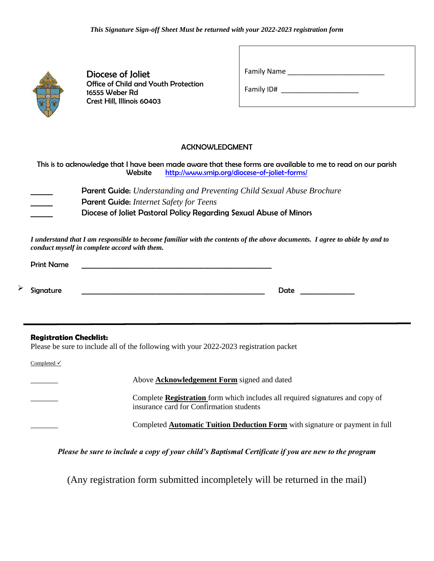

Diocese of Joliet Office of Child and Youth Protection 16555 Weber Rd Crest Hill, Illinois 60403

Family Name

Family ID#  $\blacksquare$ 

#### ACKNOWLEDGMENT

This is to acknowledge that I have been made aware that these forms are available to me to read on our parish Website http://www.smip.org/diocese-of-joliet-forms/

\_\_\_\_\_\_ Parent Guide: *Understanding and Preventing Child Sexual Abuse Brochure* \_\_\_\_\_\_ Parent Guide: *Internet Safety for Teens*  \_\_\_\_\_\_ Diocese of Joliet Pastoral Policy Regarding Sexual Abuse of Minors

*I understand that I am responsible to become familiar with the contents of the above documents. I agree to abide by and to conduct myself in complete accord with them.*

| <b>Print Name</b> |      |
|-------------------|------|
|                   |      |
| Signature         | Date |

#### **Registration Checklist:**

Please be sure to include all of the following with your 2022-2023 registration packet

Completed √

➢

Above **Acknowledgement Form** signed and dated

\_\_\_\_\_\_\_ Complete **Registration** form which includes all required signatures and copy of insurance card for Confirmation students

\_\_\_\_\_\_\_ Completed **Automatic Tuition Deduction Form** with signature or payment in full

*Please be sure to include a copy of your child's Baptismal Certificate if you are new to the program*

(Any registration form submitted incompletely will be returned in the mail)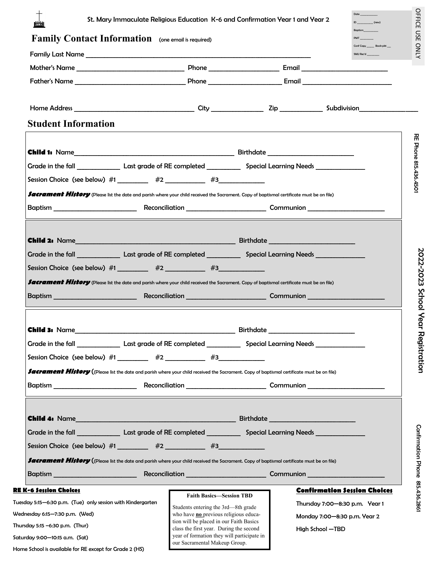| Family Contact Information (one email is required)                                                                                                                                                                                                                                                                                                                                                                                                                                                |                                                                        |  | <b>PMT</b><br>SMU Rec'd             |
|---------------------------------------------------------------------------------------------------------------------------------------------------------------------------------------------------------------------------------------------------------------------------------------------------------------------------------------------------------------------------------------------------------------------------------------------------------------------------------------------------|------------------------------------------------------------------------|--|-------------------------------------|
|                                                                                                                                                                                                                                                                                                                                                                                                                                                                                                   |                                                                        |  |                                     |
|                                                                                                                                                                                                                                                                                                                                                                                                                                                                                                   |                                                                        |  |                                     |
|                                                                                                                                                                                                                                                                                                                                                                                                                                                                                                   |                                                                        |  |                                     |
|                                                                                                                                                                                                                                                                                                                                                                                                                                                                                                   |                                                                        |  |                                     |
| <b>Student Information</b>                                                                                                                                                                                                                                                                                                                                                                                                                                                                        |                                                                        |  |                                     |
|                                                                                                                                                                                                                                                                                                                                                                                                                                                                                                   |                                                                        |  |                                     |
|                                                                                                                                                                                                                                                                                                                                                                                                                                                                                                   |                                                                        |  |                                     |
| Session Choice (see below) $#1$ $#2$ $#3$ $#3$                                                                                                                                                                                                                                                                                                                                                                                                                                                    |                                                                        |  |                                     |
| facrament History (Please list the date and parish where your child received the Sacrament. Copy of baptismal certificate must be on file)                                                                                                                                                                                                                                                                                                                                                        |                                                                        |  |                                     |
|                                                                                                                                                                                                                                                                                                                                                                                                                                                                                                   |                                                                        |  |                                     |
|                                                                                                                                                                                                                                                                                                                                                                                                                                                                                                   |                                                                        |  |                                     |
|                                                                                                                                                                                                                                                                                                                                                                                                                                                                                                   |                                                                        |  |                                     |
| Grade in the fall ______________________Last grade of RE completed _______________ Special Learning Needs ___________________                                                                                                                                                                                                                                                                                                                                                                     |                                                                        |  |                                     |
| Session Choice (see below) $\#1$ __________ $\#2$ ____________ $\#3$ ____________                                                                                                                                                                                                                                                                                                                                                                                                                 |                                                                        |  |                                     |
| <b>Sacrament History</b> (Please list the date and parish where your child received the Sacrament. Copy of baptismal certificate must be on file)                                                                                                                                                                                                                                                                                                                                                 |                                                                        |  |                                     |
|                                                                                                                                                                                                                                                                                                                                                                                                                                                                                                   |                                                                        |  |                                     |
|                                                                                                                                                                                                                                                                                                                                                                                                                                                                                                   |                                                                        |  |                                     |
| <b>Child 3: Name_</b>                                                                                                                                                                                                                                                                                                                                                                                                                                                                             |                                                                        |  |                                     |
| Grade in the fall ______________________ Last grade of RE completed _____________ Special Learning Needs _____________                                                                                                                                                                                                                                                                                                                                                                            |                                                                        |  |                                     |
| Session Choice (see below) $#1$ $#2$ $#3$ $#3$                                                                                                                                                                                                                                                                                                                                                                                                                                                    |                                                                        |  |                                     |
| <b>facrament History (</b> (Please list the date and parish where your child received the Sacrament. Copy of baptismal certificate must be on file)                                                                                                                                                                                                                                                                                                                                               |                                                                        |  |                                     |
|                                                                                                                                                                                                                                                                                                                                                                                                                                                                                                   |                                                                        |  |                                     |
|                                                                                                                                                                                                                                                                                                                                                                                                                                                                                                   |                                                                        |  |                                     |
|                                                                                                                                                                                                                                                                                                                                                                                                                                                                                                   |                                                                        |  |                                     |
|                                                                                                                                                                                                                                                                                                                                                                                                                                                                                                   |                                                                        |  |                                     |
|                                                                                                                                                                                                                                                                                                                                                                                                                                                                                                   |                                                                        |  |                                     |
|                                                                                                                                                                                                                                                                                                                                                                                                                                                                                                   |                                                                        |  |                                     |
|                                                                                                                                                                                                                                                                                                                                                                                                                                                                                                   |                                                                        |  |                                     |
|                                                                                                                                                                                                                                                                                                                                                                                                                                                                                                   |                                                                        |  |                                     |
|                                                                                                                                                                                                                                                                                                                                                                                                                                                                                                   |                                                                        |  | <b>Confirmation Session Choices</b> |
| Grade in the fall ______________________Last grade of RE completed _______________ Special Learning Needs ___________________<br>Session Choice (see below) #1 _________ #2 _________ #3 ___________<br><b>facrament History (</b> (Please list the date and parish where your child received the Sacrament. Copy of baptismal certificate must be on file)<br>Baptism __________________________<br><b>RE K-6 Session Choices</b><br>Tuesday 5:15-6:30 p.m. (Tue) only session with Kindergarten | <b>Faith Basics-Session TBD</b><br>Students entering the 3rd—8th grade |  | Thursday 7:00-8:30 p.m. Year 1      |

Home School is available for RE except for Grade 2 (HS)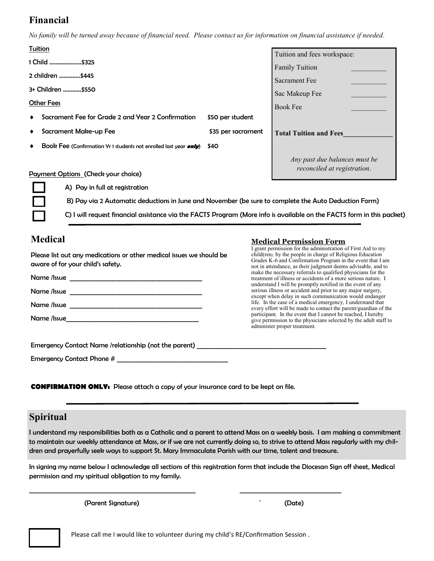# **Financial**

*No family will be turned away because of financial need. Please contact us for information on financial assistance if needed.*

| Tuition |                                                                                                      |                    | Tuition and fees workspace:   |  |
|---------|------------------------------------------------------------------------------------------------------|--------------------|-------------------------------|--|
|         | 1 Child \$325                                                                                        |                    | <b>Family Tuition</b>         |  |
|         | 2 children \$445                                                                                     |                    |                               |  |
|         | 3+ Children \$550                                                                                    |                    | Sacrament Fee                 |  |
|         |                                                                                                      |                    | Sac Makeup Fee                |  |
|         | <b>Other Fees</b>                                                                                    |                    | <b>Book Fee</b>               |  |
|         | Sacrament Fee for Grade 2 and Year 2 Confirmation                                                    | \$50 per student   |                               |  |
|         | Sacrament Make-up Fee                                                                                | \$35 per sacrament | <b>Total Tuition and Fees</b> |  |
|         | Book Fee (Confirmation Yr 1 students not enrolled last year <i>only</i> )                            | \$40               |                               |  |
|         |                                                                                                      |                    | Any past due balances must be |  |
|         | Payment Options (Check your choice)                                                                  |                    | reconciled at registration.   |  |
|         | A) Pay in full at registration                                                                       |                    |                               |  |
|         | B) Pay via 2 Automatic deductions in June and November (be sure to complete the Auto Deduction Form) |                    |                               |  |

C) I will request financial assistance via the FACTS Program (More info is available on the FACTS form in this packet)

## **Medical**

#### **Medical Permission Form** I grant permission for the administration of First Aid to my

| Please list out any medications or other medical issues we should be<br>aware of for your child's safety. | I giant permission for the authinistration of Filot Fire to my<br>child(ren), by the people in charge of Religious Education<br>Grades K-6 and Confirmation Program in the event that I am<br>not in attendance, as their judgment deems advisable, and to |  |  |
|-----------------------------------------------------------------------------------------------------------|------------------------------------------------------------------------------------------------------------------------------------------------------------------------------------------------------------------------------------------------------------|--|--|
|                                                                                                           | make the necessary referrals to qualified physicians for the<br>treatment of illness or accidents of a more serious nature. I<br>understand I will be promptly notified in the event of any                                                                |  |  |
|                                                                                                           | serious illness or accident and prior to any major surgery,<br>except when delay in such communication would endanger                                                                                                                                      |  |  |
| Name /Issue                                                                                               | life. In the case of a medical emergency, I understand that<br>every effort will be made to contact the parent/guardian of the                                                                                                                             |  |  |
|                                                                                                           | participant. In the event that I cannot be reached, I hereby<br>give permission to the physicians selected by the adult staff to<br>administer proper treatment.                                                                                           |  |  |
| Emergency Contact Name /relationship (not the parent) ___________________________                         |                                                                                                                                                                                                                                                            |  |  |
|                                                                                                           |                                                                                                                                                                                                                                                            |  |  |

**CONFIRMATION ONLY:** Please attach a copy of your insurance card to be kept on file.

### **Spiritual**

I understand my responsibilities both as a Catholic and a parent to attend Mass on a weekly basis. I am making a commitment to maintain our weekly attendance at Mass, or if we are not currently doing so, to strive to attend Mass regularly with my children and prayerfully seek ways to support St. Mary Immaculate Parish with our time, talent and treasure.

In signing my name below I acknowledge all sections of this registration form that include the Diocesan Sign off sheet, Medical permission and my spiritual obligation to my family.

(Parent Signature) ` (Date)

Please call me I would like to volunteer during my child's RE/Confirmation Session .

\_\_\_\_\_\_\_\_\_\_\_\_\_\_\_\_\_\_\_\_\_\_\_\_\_\_\_\_\_\_\_\_\_\_\_\_\_\_\_\_\_\_\_\_\_\_\_\_\_\_\_\_\_\_ \_\_\_\_\_\_\_\_\_\_\_\_\_\_\_\_\_\_\_\_\_\_\_\_\_\_\_\_\_\_\_\_\_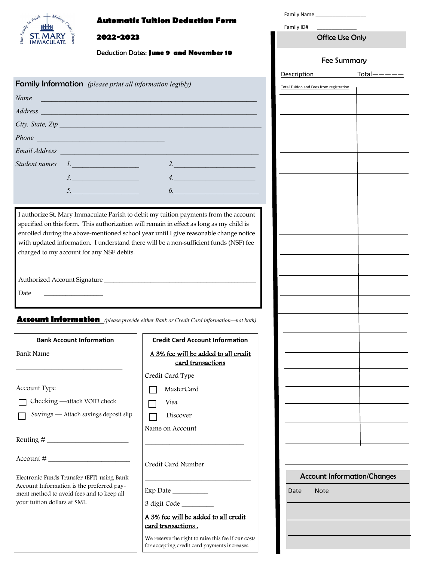#### **Automatic Tuition Deduction Form**



#### **2022-2023**

Deduction Dates: **June 9 and November 10**

| <b>Family Information</b> (please print all information legibly) |                                                                                                                                                                                                                                |    |
|------------------------------------------------------------------|--------------------------------------------------------------------------------------------------------------------------------------------------------------------------------------------------------------------------------|----|
|                                                                  | Name Name and the second contract of the second contract of the second contract of the second contract of the second contract of the second contract of the second contract of the second contract of the second contract of t |    |
|                                                                  | <i>Address</i> <b><i><u>Address</u></i></b>                                                                                                                                                                                    |    |
|                                                                  | City, State, Zip                                                                                                                                                                                                               |    |
|                                                                  | Phone contains the contact of the contact of the contact of the contact of the contact of the contact of the contact of the contact of the contact of the contact of the contact of the contact of the contact of the contact  |    |
|                                                                  | Email Address Communication of the Communication of the Communication of the Communication of the Communication                                                                                                                |    |
|                                                                  | Student names 1.                                                                                                                                                                                                               | 2. |
|                                                                  | 3.                                                                                                                                                                                                                             | 4. |
|                                                                  | 5.                                                                                                                                                                                                                             |    |

I authorize St. Mary Immaculate Parish to debit my tuition payments from the account specified on this form. This authorization will remain in effect as long as my child is enrolled during the above-mentioned school year until I give reasonable change notice with updated information. I understand there will be a non-sufficient funds (NSF) fee charged to my account for any NSF debits.

Authorized Account Signature \_\_\_\_\_\_\_\_\_\_\_\_\_\_\_\_\_\_\_\_\_\_\_\_\_\_\_\_\_\_\_\_\_\_\_\_\_\_\_\_\_\_\_\_\_\_\_\_\_

Date

**Account Information** *(please provide either Bank or Credit Card information—not both)*

| <b>Bank Account Information</b>                                                        | <b>Credit Card Account Information</b>                                                               |
|----------------------------------------------------------------------------------------|------------------------------------------------------------------------------------------------------|
| Bank Name                                                                              | A 3% fee will be added to all credit<br>card transactions                                            |
|                                                                                        | Credit Card Type                                                                                     |
| Account Type                                                                           | MasterCard                                                                                           |
| Checking —attach VOID check                                                            | Visa                                                                                                 |
| Savings - Attach savings deposit slip                                                  | Discover                                                                                             |
|                                                                                        | Name on Account                                                                                      |
|                                                                                        |                                                                                                      |
| $Account # \_$                                                                         | Credit Card Number                                                                                   |
| Electronic Funds Transfer (EFT) using Bank                                             |                                                                                                      |
| Account Information is the preferred pay-<br>ment method to avoid fees and to keep all | Exp Date                                                                                             |
| your tuition dollars at SMI.                                                           | 3 digit Code _________                                                                               |
|                                                                                        | A 3% fee will be added to all credit<br>card transactions.                                           |
|                                                                                        | We reserve the right to raise this fee if our costs<br>for accepting credit card payments increases. |

| Family ID#                                      |  |  |
|-------------------------------------------------|--|--|
| <b>Office Use Only</b>                          |  |  |
| <b>Fee Summary</b>                              |  |  |
| Description Total-                              |  |  |
| <b>Total Tuition and Fees from registration</b> |  |  |
|                                                 |  |  |
|                                                 |  |  |
|                                                 |  |  |
|                                                 |  |  |
|                                                 |  |  |
|                                                 |  |  |
|                                                 |  |  |
|                                                 |  |  |
|                                                 |  |  |
|                                                 |  |  |
|                                                 |  |  |
|                                                 |  |  |
|                                                 |  |  |
|                                                 |  |  |
|                                                 |  |  |
|                                                 |  |  |
|                                                 |  |  |
|                                                 |  |  |
|                                                 |  |  |
|                                                 |  |  |
|                                                 |  |  |
| <b>Account Information/Changes</b>              |  |  |
| Date<br>Note                                    |  |  |

Family Name